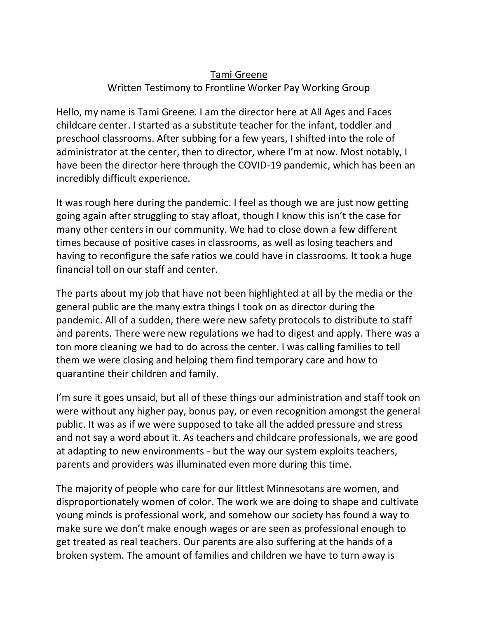## Tami Greene Written Testimony to Frontline Worker Pay Working Group

Hello, my name is Tami Greene. I am the director here at All Ages and Faces childcare center. I started as a substitute teacher for the infant, toddler and preschool classrooms. After subbing for a few years, I shifted into the role of administrator at the center, then to director, where I'm at now. Most notably, I have been the director here through the COVID-19 pandemic, which has been an incredibly difficult experience.

It was rough here during the pandemic. I feel as though we are just now getting going again after struggling to stay afloat, though I know this isn't the case for many other centers in our community. We had to close down a few different times because of positive cases in classrooms, as well as losing teachers and having to reconfigure the safe ratios we could have in classrooms. It took a huge financial toll on our staff and center.

The parts about my job that have not been highlighted at all by the media or the general public are the many extra things I took on as director during the pandemic. All of a sudden, there were new safety protocols to distribute to staff and parents. There were new regulations we had to digest and apply. There was a ton more cleaning we had to do across the center. I was calling families to tell them we were closing and helping them find temporary care and how to quarantine their children and family.

I'm sure it goes unsaid, but all of these things our administration and staff took on were without any higher pay, bonus pay, or even recognition amongst the general public. It was as if we were supposed to take all the added pressure and stress and not say a word about it. As teachers and childcare professionals, we are good at adapting to new environments - but the way our system exploits teachers, parents and providers was illuminated even more during this time.

The majority of people who care for our littlest Minnesotans are women, and disproportionately women of color. The work we are doing to shape and cultivate young minds is professional work, and somehow our society has found a way to make sure we don't make enough wages or are seen as professional enough to get treated as real teachers. Our parents are also suffering at the hands of a broken system. The amount of families and children we have to turn away is